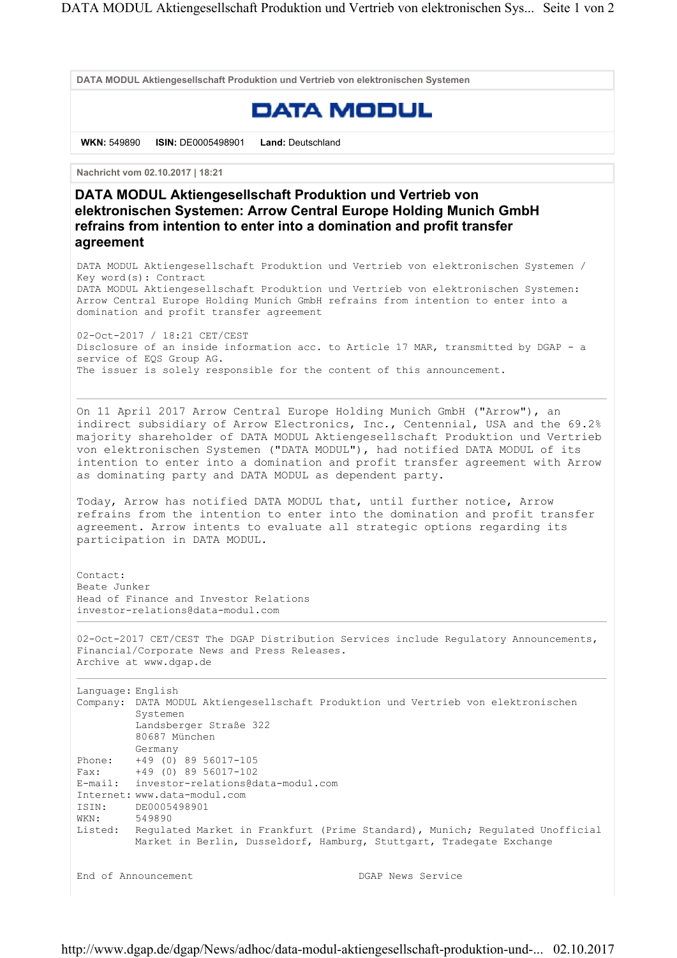